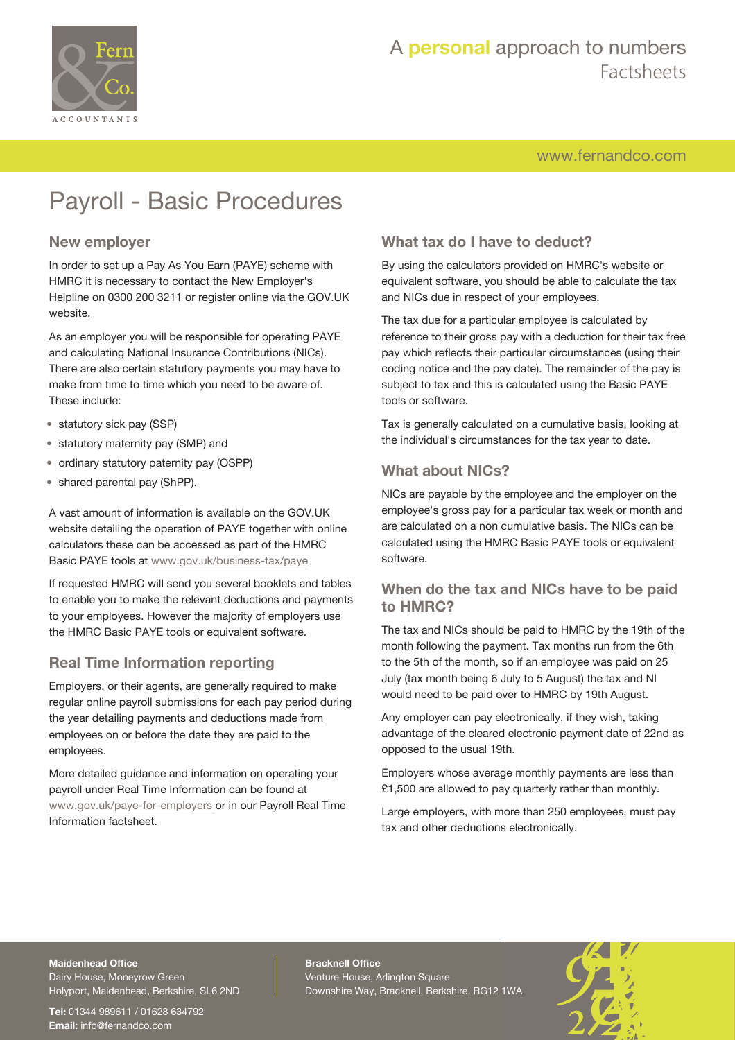

# A **personal** approach to numbers Factsheets

[www.fernandco.com](http://www.fernandco.com)

# Payroll - Basic Procedures

#### **New employer**

In order to set up a Pay As You Earn (PAYE) scheme with HMRC it is necessary to contact the New Employer's Helpline on 0300 200 3211 or register online via the GOV.UK website.

As an employer you will be responsible for operating PAYE and calculating National Insurance Contributions (NICs). There are also certain statutory payments you may have to make from time to time which you need to be aware of. These include:

- statutory sick pay (SSP)
- statutory maternity pay (SMP) and
- ordinary statutory paternity pay (OSPP)
- shared parental pay (ShPP).

A vast amount of information is available on the GOV.UK website detailing the operation of PAYE together with online calculators these can be accessed as part of the HMRC Basic PAYE tools at [www.gov.uk/business-tax/paye](https://www.gov.uk/business-tax/paye)

If requested HMRC will send you several booklets and tables to enable you to make the relevant deductions and payments to your employees. However the majority of employers use the HMRC Basic PAYE tools or equivalent software.

#### **Real Time Information reporting**

Employers, or their agents, are generally required to make regular online payroll submissions for each pay period during the year detailing payments and deductions made from employees on or before the date they are paid to the employees.

More detailed guidance and information on operating your payroll under Real Time Information can be found at [www.gov.uk/paye-for-employers](https://www.gov.uk/paye-for-employers) or in our Payroll Real Time Information factsheet.

## **What tax do I have to deduct?**

By using the calculators provided on HMRC's website or equivalent software, you should be able to calculate the tax and NICs due in respect of your employees.

The tax due for a particular employee is calculated by reference to their gross pay with a deduction for their tax free pay which reflects their particular circumstances (using their coding notice and the pay date). The remainder of the pay is subject to tax and this is calculated using the Basic PAYE tools or software.

Tax is generally calculated on a cumulative basis, looking at the individual's circumstances for the tax year to date.

### **What about NICs?**

NICs are payable by the employee and the employer on the employee's gross pay for a particular tax week or month and are calculated on a non cumulative basis. The NICs can be calculated using the HMRC Basic PAYE tools or equivalent software.

#### **When do the tax and NICs have to be paid to HMRC?**

The tax and NICs should be paid to HMRC by the 19th of the month following the payment. Tax months run from the 6th to the 5th of the month, so if an employee was paid on 25 July (tax month being 6 July to 5 August) the tax and NI would need to be paid over to HMRC by 19th August.

Any employer can pay electronically, if they wish, taking advantage of the cleared electronic payment date of 22nd as opposed to the usual 19th.

Employers whose average monthly payments are less than £1,500 are allowed to pay quarterly rather than monthly.

Large employers, with more than 250 employees, must pay tax and other deductions electronically.

## **Maidenhead Office**

Dairy House, Moneyrow Green Holyport, Maidenhead, Berkshire, SL6 2ND

**Tel:** 01344 989611 / 01628 634792 **Email:** [info@fernandco.com](mailto:info@fernandco.com)

**Bracknell Office** Venture House, Arlington Square Downshire Way, Bracknell, Berkshire, RG12 1WA